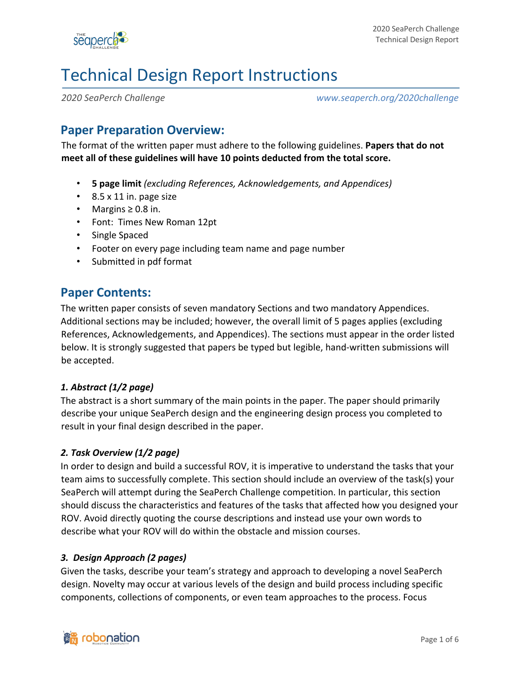

# Technical Design Report Instructions

*2020 SeaPerch Challenge www.seaperch.org/2020challenge*

#### **Paper Preparation Overview:**

The format of the written paper must adhere to the following guidelines. **Papers that do not meet all of these guidelines will have 10 points deducted from the total score.**

- **5 page limit** *(excluding References, Acknowledgements, and Appendices)*
- 8.5 x 11 in. page size
- Margins ≥ 0.8 in.
- Font: Times New Roman 12pt
- Single Spaced
- Footer on every page including team name and page number
- Submitted in pdf format

#### **Paper Contents:**

The written paper consists of seven mandatory Sections and two mandatory Appendices. Additional sections may be included; however, the overall limit of 5 pages applies (excluding References, Acknowledgements, and Appendices). The sections must appear in the order listed below. It is strongly suggested that papers be typed but legible, hand-written submissions will be accepted.

#### *1. Abstract (1/2 page)*

The abstract is a short summary of the main points in the paper. The paper should primarily describe your unique SeaPerch design and the engineering design process you completed to result in your final design described in the paper.

#### *2. Task Overview (1/2 page)*

In order to design and build a successful ROV, it is imperative to understand the tasks that your team aims to successfully complete. This section should include an overview of the task(s) your SeaPerch will attempt during the SeaPerch Challenge competition. In particular, this section should discuss the characteristics and features of the tasks that affected how you designed your ROV. Avoid directly quoting the course descriptions and instead use your own words to describe what your ROV will do within the obstacle and mission courses.

#### *3. Design Approach (2 pages)*

Given the tasks, describe your team's strategy and approach to developing a novel SeaPerch design. Novelty may occur at various levels of the design and build process including specific components, collections of components, or even team approaches to the process. Focus

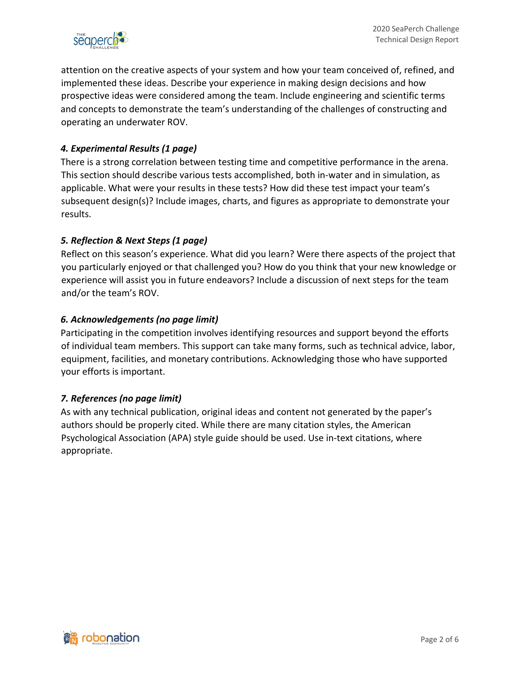

attention on the creative aspects of your system and how your team conceived of, refined, and implemented these ideas. Describe your experience in making design decisions and how prospective ideas were considered among the team. Include engineering and scientific terms and concepts to demonstrate the team's understanding of the challenges of constructing and operating an underwater ROV.

#### *4. Experimental Results (1 page)*

There is a strong correlation between testing time and competitive performance in the arena. This section should describe various tests accomplished, both in-water and in simulation, as applicable. What were your results in these tests? How did these test impact your team's subsequent design(s)? Include images, charts, and figures as appropriate to demonstrate your results.

#### *5. Reflection & Next Steps (1 page)*

Reflect on this season's experience. What did you learn? Were there aspects of the project that you particularly enjoyed or that challenged you? How do you think that your new knowledge or experience will assist you in future endeavors? Include a discussion of next steps for the team and/or the team's ROV.

#### *6. Acknowledgements (no page limit)*

Participating in the competition involves identifying resources and support beyond the efforts of individual team members. This support can take many forms, such as technical advice, labor, equipment, facilities, and monetary contributions. Acknowledging those who have supported your efforts is important.

#### *7. References (no page limit)*

As with any technical publication, original ideas and content not generated by the paper's authors should be properly cited. While there are many citation styles, the American Psychological Association (APA) style guide should be used. Use in-text citations, where appropriate.

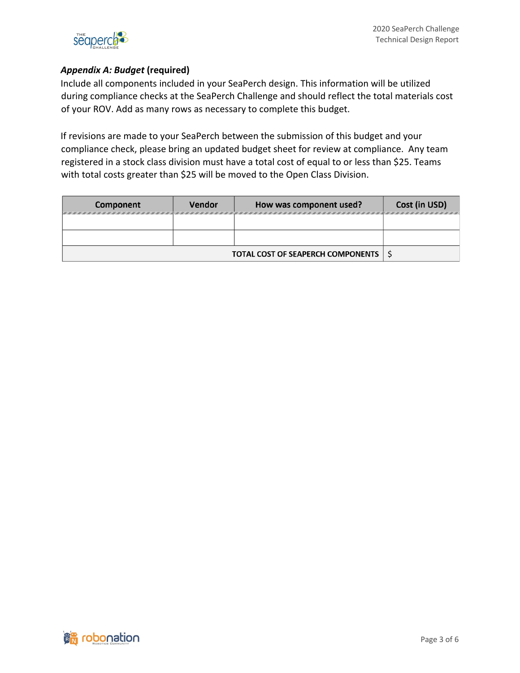

#### *Appendix A: Budget* **(required)**

Include all components included in your SeaPerch design. This information will be utilized during compliance checks at the SeaPerch Challenge and should reflect the total materials cost of your ROV. Add as many rows as necessary to complete this budget.

If revisions are made to your SeaPerch between the submission of this budget and your compliance check, please bring an updated budget sheet for review at compliance. Any team registered in a stock class division must have a total cost of equal to or less than \$25. Teams with total costs greater than \$25 will be moved to the Open Class Division.

| Component                                | <b>Vendor</b> | How was component used? | Cost (in USD) |
|------------------------------------------|---------------|-------------------------|---------------|
|                                          |               |                         |               |
|                                          |               |                         |               |
|                                          |               |                         |               |
| <b>TOTAL COST OF SEAPERCH COMPONENTS</b> |               |                         |               |

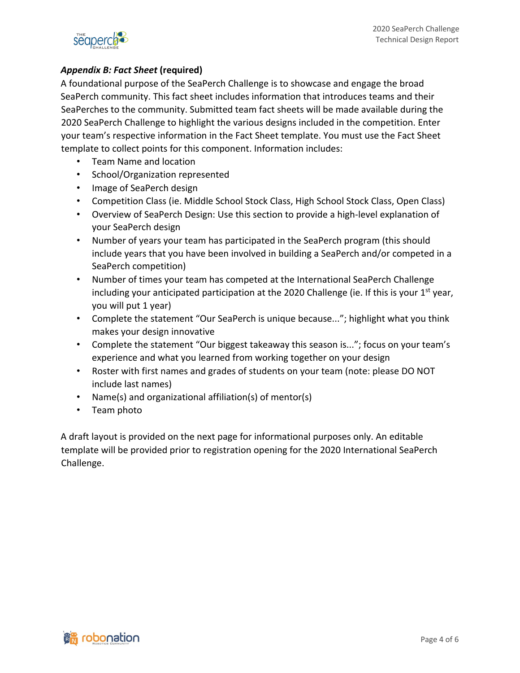

#### *Appendix B: Fact Sheet* **(required)**

A foundational purpose of the SeaPerch Challenge is to showcase and engage the broad SeaPerch community. This fact sheet includes information that introduces teams and their SeaPerches to the community. Submitted team fact sheets will be made available during the 2020 SeaPerch Challenge to highlight the various designs included in the competition. Enter your team's respective information in the Fact Sheet template. You must use the Fact Sheet template to collect points for this component. Information includes:

- Team Name and location
- School/Organization represented
- Image of SeaPerch design
- Competition Class (ie. Middle School Stock Class, High School Stock Class, Open Class)
- Overview of SeaPerch Design: Use this section to provide a high-level explanation of your SeaPerch design
- Number of years your team has participated in the SeaPerch program (this should include years that you have been involved in building a SeaPerch and/or competed in a SeaPerch competition)
- Number of times your team has competed at the International SeaPerch Challenge including your anticipated participation at the 2020 Challenge (ie. If this is your  $1^{st}$  year, you will put 1 year)
- Complete the statement "Our SeaPerch is unique because..."; highlight what you think makes your design innovative
- Complete the statement "Our biggest takeaway this season is..."; focus on your team's experience and what you learned from working together on your design
- Roster with first names and grades of students on your team (note: please DO NOT include last names)
- Name(s) and organizational affiliation(s) of mentor(s)
- Team photo

A draft layout is provided on the next page for informational purposes only. An editable template will be provided prior to registration opening for the 2020 International SeaPerch Challenge.

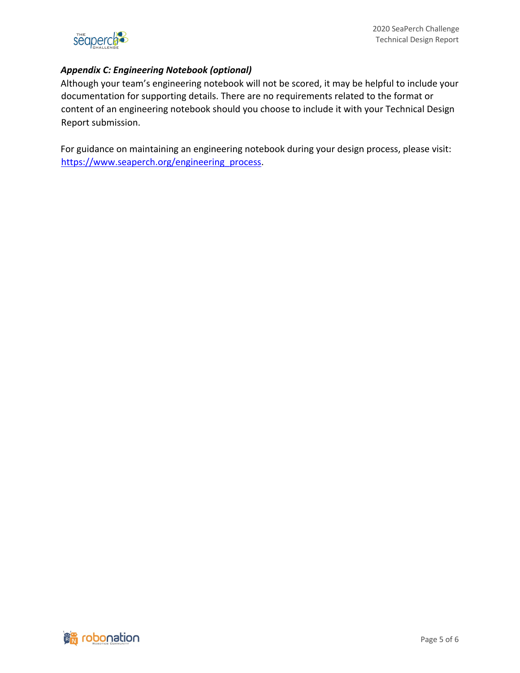

#### *Appendix C: Engineering Notebook (optional)*

Although your team's engineering notebook will not be scored, it may be helpful to include your documentation for supporting details. There are no requirements related to the format or content of an engineering notebook should you choose to include it with your Technical Design Report submission.

For guidance on maintaining an engineering notebook during your design process, please visit: https://www.seaperch.org/engineering\_process.